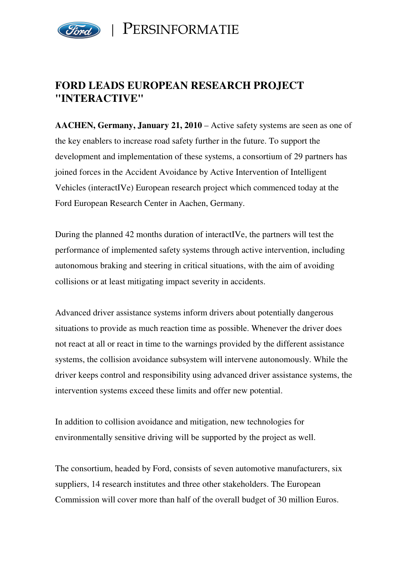

PERSINFORMATIE

# **FORD LEADS EUROPEAN RESEARCH PROJECT "INTERACTIVE"**

**AACHEN, Germany, January 21, 2010** – Active safety systems are seen as one of the key enablers to increase road safety further in the future. To support the development and implementation of these systems, a consortium of 29 partners has joined forces in the Accident Avoidance by Active Intervention of Intelligent Vehicles (interactIVe) European research project which commenced today at the Ford European Research Center in Aachen, Germany.

During the planned 42 months duration of interactIVe, the partners will test the performance of implemented safety systems through active intervention, including autonomous braking and steering in critical situations, with the aim of avoiding collisions or at least mitigating impact severity in accidents.

Advanced driver assistance systems inform drivers about potentially dangerous situations to provide as much reaction time as possible. Whenever the driver does not react at all or react in time to the warnings provided by the different assistance systems, the collision avoidance subsystem will intervene autonomously. While the driver keeps control and responsibility using advanced driver assistance systems, the intervention systems exceed these limits and offer new potential.

In addition to collision avoidance and mitigation, new technologies for environmentally sensitive driving will be supported by the project as well.

The consortium, headed by Ford, consists of seven automotive manufacturers, six suppliers, 14 research institutes and three other stakeholders. The European Commission will cover more than half of the overall budget of 30 million Euros.